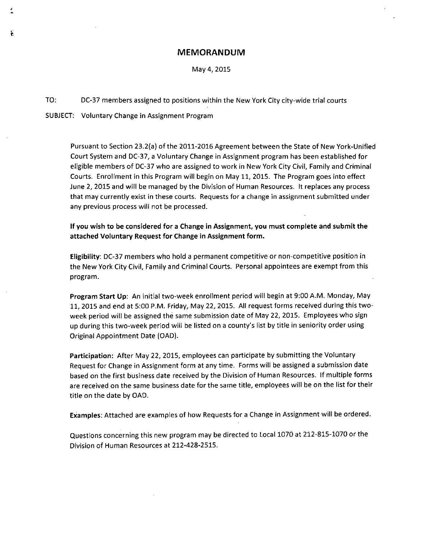#### **MEMORANDUM**

May 4,2015

TO: DC-37 members assigned to positions within the New York City city-wide trial courts

SUBJECT: Voluntary Change in Assignment Program

£

Pursuant to Section 23.2(a) of the 2011-2016 Agreement between the State of New York-Unified Court System and DC-37, a Voluntary Change in Assignment program has been established for eligible members of DC-37 who are assigned to work in New York City Civil, Family and Criminal Courts. Enrollment in this Program will begin on May 11, 2015. The Program goes into effect June 2, 2015 and will be managed by the Division of Human Resources. It replaces any process that may currently exist in these courts. Requests for a change in assignment submitted under any previous process will not be processed.

If you wish to be considered for a Change in Assignment, you must complete and submit the attached Voluntary Request for Change in Assignment form.

Eligibility: DC-37 members who hold a permanent competitive or non-competitive position in the New York City Civil, Family and Criminal Courts. Personal appointees are exempt from this program.

Program Start Up: An initial two-week enrollment period will begin at 9:00 A.M. Monday, May 11,2015 and end at 5:00 P.M. Friday, May 22, 2015. All request forms received during this twoweek period will be assigned the same submission date of May 22, 2015. Employees who sign up during this two-week period will be listed on a county's list by title in seniority order using Original Appointment Date (DAD).

Participation: After May 22, 2015, employees can participate by submitting the Voluntary Request for Change in Assignment form at any time. Forms will be assigned a submission date based on the first business date received by the Division of Human Resources. If multiple forms are received on the same business date for the same title, employees will be on the list for their title on the date by DAD.

Examples: Attached are examples of how Requests for a Change in Assignment will be ordered.

Questions concerning this new program may be directed to Local 1070 at 212-815-1070 or the Division of Human Resources at 212-428-2515.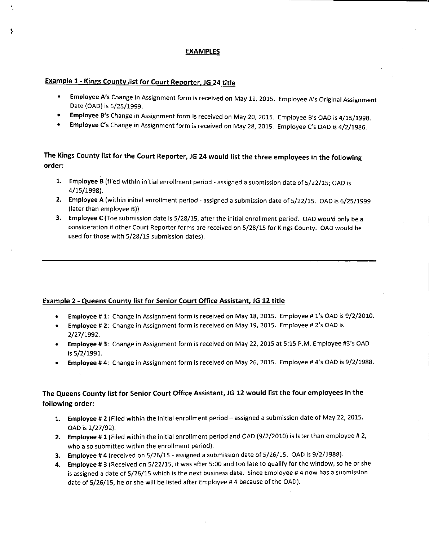### EXAMPLES

### Example 1 - Kings County list for Court Reporter. JG 24 title

ţ

- **Employee A's Change in Assignment form is received on May 11, 2015. Employee A's Original Assignment** Date (OAD) is 6/25/1999.
- Employee B's Change in Assignment form is received on May 20, 2015. Employee B's OAD is 4/15/1998.
- Employee C's Change in Assignment form is received on May 28, 2015. Employee C's OAD is 4/2/1986.

## The Kings County list for the Court Reporter, JG 24 would list the three employees in the following order:

- 1. Employee B (filed within initial enroilment period assigned a submission date of 5/22/15; OAD is 4/15/1998).
- 2. Employee A (within initial enrollment period assigned a submission date of 5/22/15. OAD is 6/25/1999 (later than employee B)). .
- 3. Employee C (The submission date is 5/28/15, after the initial enrollment period. OAD would only be a consideration if other Court Reporter forms are received on 5/28/15 for Kings County. OAD would be used for those with 5/28/15 submission dates).

#### Example 2 - Queens County list for Senior Court Office Assistant, JG 12 title

- Employee # 1: Change in Assignment form is received on May 18, 2015. Employee # l's OAD is 9/2/2010.
- Employee # 2: Change in Assignment form is received on May 19, 2015. Employee # 2's OAD is 2/27/1992.
- Employee # 3: Change in Assignment form is received on May 22,2015 at 5:15 P.M. Employee #3's OAD is 5/2/1991.
- Employee # 4: Change in Assignment form is received on May 26, 2015. Employee # 4's OAD is 9/2/1988.

### The Queens County list for Senior Court Office Assistant, JG 12 would list the four employees in the following order:

- 1. Employee # 2 (Filed within the initial enrollment period assigned a submission date of May 22, 2015. OADis 2/27/92).
- 2. Employee # 1 (Filed within the initial enroilment period and OAD (9/2/2010) is later than employee # 2, who also submitted within the enrollment period).
- 3. Employee # 4 (received on 5/26/15 assigned a submission date of 5/26/15. OAD is 9/2/1988).
- 4. Employee # 3 (Received on 5/22/15, it was after 5:00 and too late to qualify for the window, so he or she is assigned a date of 5/26/15 which is the next business date. Since Employee # 4 now has a submission date of 5/26/15, he or she wiil be listed after Employee # 4 because of the OAD).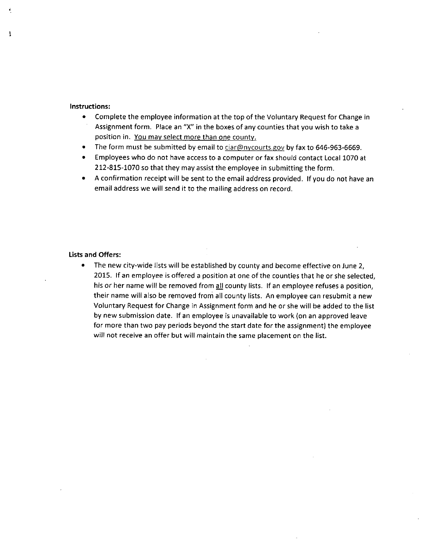#### Instructions:

ì

- Complete the employee information at the top of the Voluntary Request for Change in Assignment form. Place an "X" in the boxes of any counties that you wish to take a position in. You may select more than one county.
- The form must be submitted by email to [ciar@nycourts.gov](mailto:ciar@nycourts.gov) by fax to 646-963-6669.
- Employees who do not have access to a computer or fax should contact Local 1070 at 212-815-1070 so that they may assist the employee in submitting the form.
- o A confirmation receipt will be sent to the email address provided. If you do not have an email address we will send it to the mailing address on record.

#### Lists and Offers:

• The new city-wide lists will be established by county and become effective on June 2, 2015. If an employee is *offered* a position at one of the counties that he or she selected, his or her name will be removed from all county lists. If an employee refuses a position, their name will also be removed from all county lists. An employee can resubmit a new Voluntary Request for Change in Assignment form and he or she will be added to the list by new submission date. If an employee is unavailable to work (on an approved leave for more than two pay periods beyond the start date for the assignment) the employee will not receive an offer but will maintain the same placement on the list.